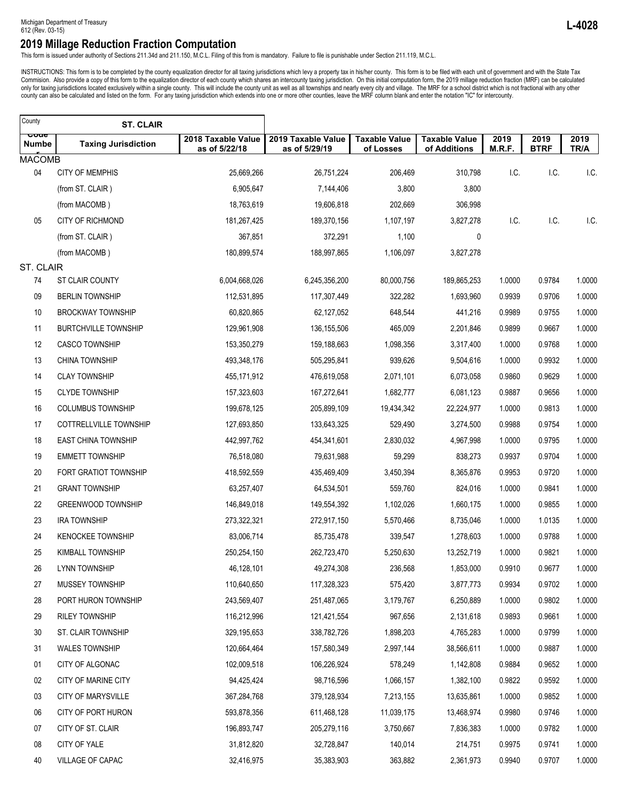This form is issued under authority of Sections 211.34d and 211.150, M.C.L. Filing of this from is mandatory. Failure to file is punishable under Section 211.119, M.C.L.

INSTRUCTIONS: This form is to be completed by the county equalization director for all taxing jurisdictions which levy a property tax in his/her county. This form is to be filed with each unit of government and with the St county can also be calculated and listed on the form. For any taxing jurisdiction which extends into one or more other counties, leave the MRF column blank and enter the notation "IC" for intercounty.

| County        | <b>ST. CLAIR</b>             |                                     |                                     |                                   |                                      |                |                     |              |
|---------------|------------------------------|-------------------------------------|-------------------------------------|-----------------------------------|--------------------------------------|----------------|---------------------|--------------|
| ooue<br>Numbe | <b>Taxing Jurisdiction</b>   | 2018 Taxable Value<br>as of 5/22/18 | 2019 Taxable Value<br>as of 5/29/19 | <b>Taxable Value</b><br>of Losses | <b>Taxable Value</b><br>of Additions | 2019<br>M.R.F. | 2019<br><b>BTRF</b> | 2019<br>TR/A |
| <b>MACOMB</b> |                              |                                     |                                     |                                   |                                      |                |                     |              |
| 04            | <b>CITY OF MEMPHIS</b>       | 25,669,266                          | 26,751,224                          | 206,469                           | 310,798                              | I.C.           | I.C.                | I.C.         |
|               | (from ST. CLAIR)             | 6,905,647                           | 7,144,406                           | 3,800                             | 3,800                                |                |                     |              |
|               | (from MACOMB)                | 18,763,619                          | 19,606,818                          | 202,669                           | 306,998                              |                |                     |              |
| 05            | <b>CITY OF RICHMOND</b>      | 181,267,425                         | 189,370,156                         | 1,107,197                         | 3,827,278                            | I.C.           | I.C.                | I.C.         |
|               | (from ST. CLAIR)             | 367,851                             | 372,291                             | 1,100                             | 0                                    |                |                     |              |
|               | (from MACOMB)                | 180,899,574                         | 188,997,865                         | 1,106,097                         | 3,827,278                            |                |                     |              |
| ST. CLAIR     |                              |                                     |                                     |                                   |                                      |                |                     |              |
| 74            | ST CLAIR COUNTY              | 6,004,668,026                       | 6,245,356,200                       | 80,000,756                        | 189,865,253                          | 1.0000         | 0.9784              | 1.0000       |
| 09            | <b>BERLIN TOWNSHIP</b>       | 112,531,895                         | 117,307,449                         | 322,282                           | 1,693,960                            | 0.9939         | 0.9706              | 1.0000       |
| 10            | <b>BROCKWAY TOWNSHIP</b>     | 60,820,865                          | 62,127,052                          | 648,544                           | 441,216                              | 0.9989         | 0.9755              | 1.0000       |
| 11            | <b>BURTCHVILLE TOWNSHIP</b>  | 129,961,908                         | 136, 155, 506                       | 465,009                           | 2,201,846                            | 0.9899         | 0.9667              | 1.0000       |
| 12            | <b>CASCO TOWNSHIP</b>        | 153,350,279                         | 159,188,663                         | 1,098,356                         | 3,317,400                            | 1.0000         | 0.9768              | 1.0000       |
| 13            | <b>CHINA TOWNSHIP</b>        | 493,348,176                         | 505,295,841                         | 939,626                           | 9,504,616                            | 1.0000         | 0.9932              | 1.0000       |
| 14            | <b>CLAY TOWNSHIP</b>         | 455, 171, 912                       | 476,619,058                         | 2,071,101                         | 6,073,058                            | 0.9860         | 0.9629              | 1.0000       |
| 15            | <b>CLYDE TOWNSHIP</b>        | 157,323,603                         | 167,272,641                         | 1,682,777                         | 6,081,123                            | 0.9887         | 0.9656              | 1.0000       |
| 16            | <b>COLUMBUS TOWNSHIP</b>     | 199,678,125                         | 205,899,109                         | 19,434,342                        | 22,224,977                           | 1.0000         | 0.9813              | 1.0000       |
| 17            | COTTRELLVILLE TOWNSHIP       | 127,693,850                         | 133,643,325                         | 529,490                           | 3,274,500                            | 0.9988         | 0.9754              | 1.0000       |
| 18            | <b>EAST CHINA TOWNSHIP</b>   | 442,997,762                         | 454,341,601                         | 2,830,032                         | 4,967,998                            | 1.0000         | 0.9795              | 1.0000       |
| 19            | <b>EMMETT TOWNSHIP</b>       | 76,518,080                          | 79,631,988                          | 59,299                            | 838,273                              | 0.9937         | 0.9704              | 1.0000       |
| 20            | <b>FORT GRATIOT TOWNSHIP</b> | 418,592,559                         | 435,469,409                         | 3,450,394                         | 8,365,876                            | 0.9953         | 0.9720              | 1.0000       |
| 21            | <b>GRANT TOWNSHIP</b>        | 63,257,407                          | 64,534,501                          | 559,760                           | 824,016                              | 1.0000         | 0.9841              | 1.0000       |
| 22            | GREENWOOD TOWNSHIP           | 146,849,018                         | 149,554,392                         | 1,102,026                         | 1,660,175                            | 1.0000         | 0.9855              | 1.0000       |
| 23            | <b>IRA TOWNSHIP</b>          | 273,322,321                         | 272,917,150                         | 5,570,466                         | 8,735,046                            | 1.0000         | 1.0135              | 1.0000       |
| 24            | <b>KENOCKEE TOWNSHIP</b>     | 83,006,714                          | 85,735,478                          | 339,547                           | 1,278,603                            | 1.0000         | 0.9788              | 1.0000       |
| 25            | <b>KIMBALL TOWNSHIP</b>      | 250,254,150                         | 262,723,470                         | 5,250,630                         | 13,252,719                           | 1.0000         | 0.9821              | 1.0000       |
| 26            | <b>LYNN TOWNSHIP</b>         | 46,128,101                          | 49,274,308                          | 236,568                           | 1,853,000                            | 0.9910         | 0.9677              | 1.0000       |
| 27            | MUSSEY TOWNSHIP              | 110,640,650                         | 117,328,323                         | 575,420                           | 3,877,773                            | 0.9934         | 0.9702              | 1.0000       |
| 28            | PORT HURON TOWNSHIP          | 243,569,407                         | 251,487,065                         | 3,179,767                         | 6,250,889                            | 1.0000         | 0.9802              | 1.0000       |
| 29            | <b>RILEY TOWNSHIP</b>        | 116,212,996                         | 121,421,554                         | 967,656                           | 2,131,618                            | 0.9893         | 0.9661              | 1.0000       |
| 30            | ST. CLAIR TOWNSHIP           | 329,195,653                         | 338,782,726                         | 1,898,203                         | 4,765,283                            | 1.0000         | 0.9799              | 1.0000       |
| 31            | <b>WALES TOWNSHIP</b>        | 120,664,464                         | 157,580,349                         | 2,997,144                         | 38,566,611                           | 1.0000         | 0.9887              | 1.0000       |
| 01            | CITY OF ALGONAC              | 102,009,518                         | 106,226,924                         | 578,249                           | 1,142,808                            | 0.9884         | 0.9652              | 1.0000       |
| 02            | CITY OF MARINE CITY          | 94,425,424                          | 98,716,596                          | 1,066,157                         | 1,382,100                            | 0.9822         | 0.9592              | 1.0000       |
| 03            | CITY OF MARYSVILLE           | 367,284,768                         | 379,128,934                         | 7,213,155                         | 13,635,861                           | 1.0000         | 0.9852              | 1.0000       |
| 06            | CITY OF PORT HURON           | 593,878,356                         | 611,468,128                         | 11,039,175                        | 13,468,974                           | 0.9980         | 0.9746              | 1.0000       |
| 07            | CITY OF ST. CLAIR            | 196,893,747                         | 205,279,116                         | 3,750,667                         | 7,836,383                            | 1.0000         | 0.9782              | 1.0000       |
| 08            | CITY OF YALE                 | 31,812,820                          | 32,728,847                          | 140,014                           | 214,751                              | 0.9975         | 0.9741              | 1.0000       |
| 40            | VILLAGE OF CAPAC             | 32,416,975                          | 35,383,903                          | 363,882                           | 2,361,973                            | 0.9940         | 0.9707              | 1.0000       |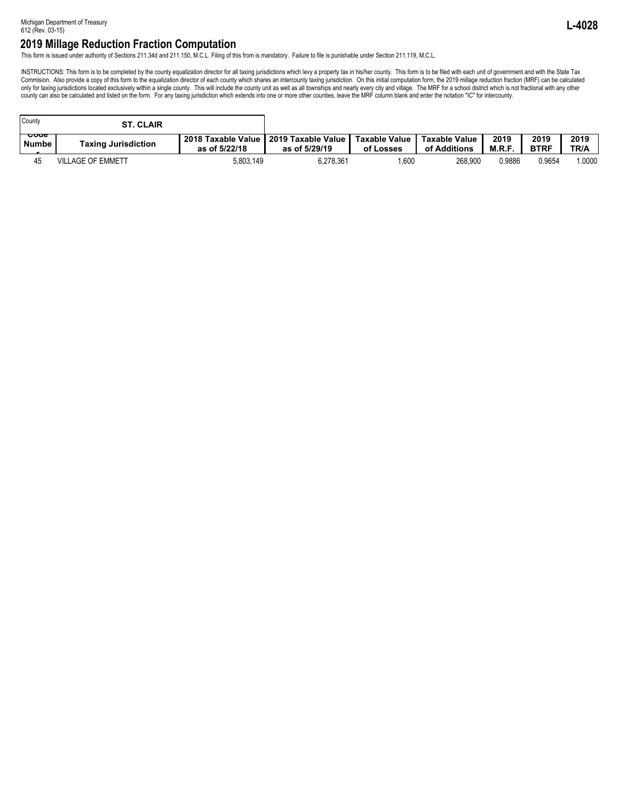This form is issued under authority of Sections 211.34d and 211.150, M.C.L. Filing of this from is mandatory. Failure to file is punishable under Section 211.119, M.C.L.

INSTRUCTIONS: This form is to be completed by the county equalization director for all taxing jurisdictions which levy a property tax in his/her county. This form is to be filed with each unit of government and with the St only for taxing jurisdictions located exclusively within a single county. This will include the county unit as well as all townships and nearly every city and village. The MRF for a school district which is not fractional county can also be calculated and listed on the form. For any taxing jurisdiction which extends into one or more other counties, leave the MRF column blank and enter the notation "IC" for intercounty.

| County                          | <b>ST. CLAIR</b>           |                                                          |               |                            |                               |                |                     |              |
|---------------------------------|----------------------------|----------------------------------------------------------|---------------|----------------------------|-------------------------------|----------------|---------------------|--------------|
| <del>ooue</del><br><b>Numbe</b> | <b>Taxing Jurisdiction</b> | 2018 Taxable Value   2019 Taxable Value<br>as of 5/22/18 | as of 5/29/19 | Taxable Value<br>of Losses | Taxable Value<br>of Additions | 2019<br>M.R.F. | 2019<br><b>BTRF</b> | 2019<br>TR/A |
| 45                              | <b>VILLAGE OF EMMETT</b>   | 5.803.149                                                | 6.278.361     | .600                       | 268,900                       | 0.9886         | 0.9654              | 1.0000       |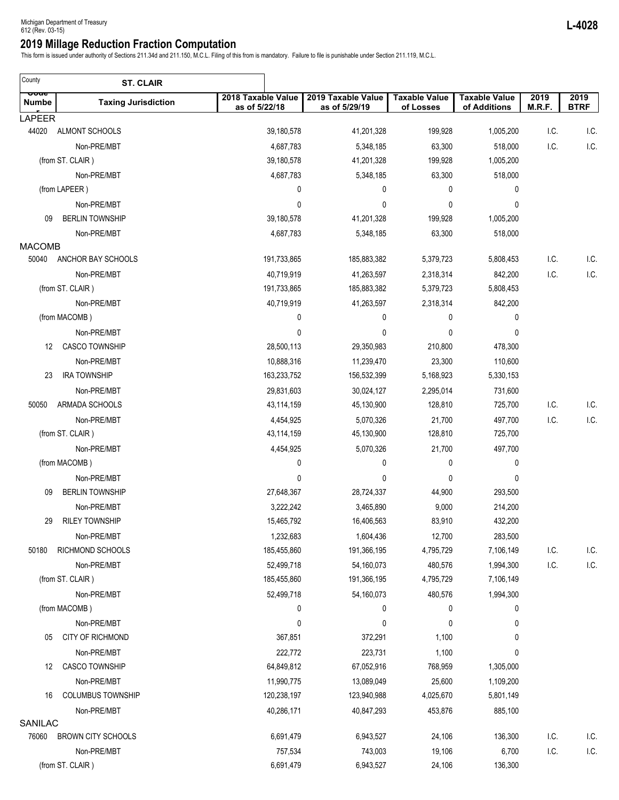This form is issued under authority of Sections 211.34d and 211.150, M.C.L. Filing of this from is mandatory. Failure to file is punishable under Section 211.119, M.C.L.

| County                 | <b>ST. CLAIR</b>           |                                     |                                     |                                   |                                      |                |                     |
|------------------------|----------------------------|-------------------------------------|-------------------------------------|-----------------------------------|--------------------------------------|----------------|---------------------|
| ooue<br>Numbe          | <b>Taxing Jurisdiction</b> | 2018 Taxable Value<br>as of 5/22/18 | 2019 Taxable Value<br>as of 5/29/19 | <b>Taxable Value</b><br>of Losses | <b>Taxable Value</b><br>of Additions | 2019<br>M.R.F. | 2019<br><b>BTRF</b> |
| LAPEER                 |                            |                                     |                                     |                                   |                                      |                |                     |
| 44020                  | ALMONT SCHOOLS             | 39,180,578                          | 41,201,328                          | 199,928                           | 1,005,200                            | I.C.           | I.C.                |
|                        | Non-PRE/MBT                | 4,687,783                           | 5,348,185                           | 63,300                            | 518,000                              | I.C.           | I.C.                |
|                        | (from ST. CLAIR)           | 39,180,578                          | 41,201,328                          | 199,928                           | 1,005,200                            |                |                     |
|                        | Non-PRE/MBT                | 4,687,783                           | 5,348,185                           | 63,300                            | 518,000                              |                |                     |
|                        | (from LAPEER)              | 0                                   | 0                                   | 0                                 | 0                                    |                |                     |
|                        | Non-PRE/MBT                | 0                                   | 0                                   | $\mathbf 0$                       | 0                                    |                |                     |
| 09                     | <b>BERLIN TOWNSHIP</b>     | 39,180,578                          | 41,201,328                          | 199,928                           | 1,005,200                            |                |                     |
|                        | Non-PRE/MBT                | 4,687,783                           | 5,348,185                           | 63,300                            | 518,000                              |                |                     |
| <b>MACOMB</b><br>50040 | ANCHOR BAY SCHOOLS         | 191,733,865                         | 185,883,382                         | 5,379,723                         | 5,808,453                            | I.C.           | I.C.                |
|                        | Non-PRE/MBT                | 40,719,919                          | 41,263,597                          | 2,318,314                         | 842,200                              | I.C.           | I.C.                |
|                        | (from ST. CLAIR)           | 191,733,865                         | 185,883,382                         | 5,379,723                         | 5,808,453                            |                |                     |
|                        | Non-PRE/MBT                | 40,719,919                          | 41,263,597                          | 2,318,314                         | 842,200                              |                |                     |
|                        | (from MACOMB)              | 0                                   | 0                                   | 0                                 | 0                                    |                |                     |
|                        | Non-PRE/MBT                | 0                                   | 0                                   | 0                                 | 0                                    |                |                     |
| 12                     | <b>CASCO TOWNSHIP</b>      | 28,500,113                          | 29,350,983                          | 210,800                           | 478,300                              |                |                     |
|                        | Non-PRE/MBT                | 10,888,316                          | 11,239,470                          | 23,300                            | 110,600                              |                |                     |
| 23                     | <b>IRA TOWNSHIP</b>        | 163,233,752                         | 156,532,399                         | 5,168,923                         | 5,330,153                            |                |                     |
|                        | Non-PRE/MBT                | 29,831,603                          | 30,024,127                          | 2,295,014                         | 731,600                              |                |                     |
| 50050                  | ARMADA SCHOOLS             | 43,114,159                          | 45,130,900                          | 128,810                           | 725,700                              | I.C.           | I.C.                |
|                        | Non-PRE/MBT                | 4,454,925                           | 5,070,326                           | 21,700                            | 497,700                              | I.C.           | I.C.                |
|                        | (from ST. CLAIR)           | 43,114,159                          | 45,130,900                          | 128,810                           | 725,700                              |                |                     |
|                        | Non-PRE/MBT                | 4,454,925                           | 5,070,326                           | 21,700                            | 497,700                              |                |                     |
|                        | (from MACOMB)              | 0                                   | 0                                   | 0                                 | 0                                    |                |                     |
|                        | Non-PRE/MBT                | 0                                   | 0                                   | 0                                 | 0                                    |                |                     |
| 09                     | <b>BERLIN TOWNSHIP</b>     | 27,648,367                          | 28,724,337                          | 44,900                            | 293,500                              |                |                     |
|                        | Non-PRE/MBT                | 3,222,242                           | 3,465,890                           | 9,000                             | 214,200                              |                |                     |
| 29                     | <b>RILEY TOWNSHIP</b>      | 15,465,792                          | 16,406,563                          | 83,910                            | 432,200                              |                |                     |
|                        | Non-PRE/MBT                | 1,232,683                           | 1,604,436                           | 12,700                            | 283,500                              |                |                     |
| 50180                  | RICHMOND SCHOOLS           | 185,455,860                         | 191,366,195                         | 4,795,729                         | 7,106,149                            | I.C.           | I.C.                |
|                        | Non-PRE/MBT                | 52,499,718                          | 54,160,073                          | 480,576                           | 1,994,300                            | I.C.           | I.C.                |
|                        | (from ST. CLAIR)           | 185,455,860                         | 191,366,195                         | 4,795,729                         | 7,106,149                            |                |                     |
|                        | Non-PRE/MBT                | 52,499,718                          | 54,160,073                          | 480,576                           | 1,994,300                            |                |                     |
|                        | (from MACOMB)              | 0                                   | 0                                   | 0                                 | 0                                    |                |                     |
|                        | Non-PRE/MBT                | 0                                   | 0                                   | 0                                 | 0                                    |                |                     |
| 05                     | CITY OF RICHMOND           | 367,851                             | 372,291                             | 1,100                             | 0                                    |                |                     |
|                        | Non-PRE/MBT                | 222,772                             | 223,731                             | 1,100                             | 0                                    |                |                     |
| 12                     | <b>CASCO TOWNSHIP</b>      | 64,849,812                          | 67,052,916                          | 768,959                           | 1,305,000                            |                |                     |
|                        | Non-PRE/MBT                | 11,990,775                          | 13,089,049                          | 25,600                            | 1,109,200                            |                |                     |
| 16                     | <b>COLUMBUS TOWNSHIP</b>   | 120,238,197                         | 123,940,988                         | 4,025,670                         | 5,801,149                            |                |                     |
|                        | Non-PRE/MBT                | 40,286,171                          | 40,847,293                          | 453,876                           | 885,100                              |                |                     |
| SANILAC                |                            |                                     |                                     |                                   |                                      |                |                     |
| 76060                  | <b>BROWN CITY SCHOOLS</b>  | 6,691,479                           | 6,943,527                           | 24,106                            | 136,300                              | I.C.           | I.C.                |
|                        | Non-PRE/MBT                | 757,534                             | 743,003                             | 19,106                            | 6,700                                | I.C.           | I.C.                |
|                        | (from ST. CLAIR)           | 6,691,479                           | 6,943,527                           | 24,106                            | 136,300                              |                |                     |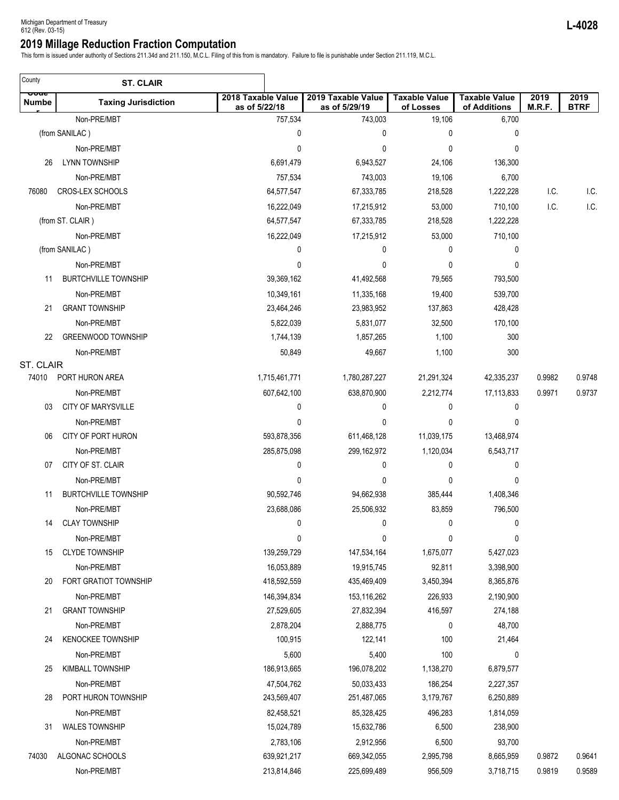This form is issued under authority of Sections 211.34d and 211.150, M.C.L. Filing of this from is mandatory. Failure to file is punishable under Section 211.119, M.C.L.

| County               | <b>ST. CLAIR</b>            |                                     |                                     |                                   |                                      |                |                     |
|----------------------|-----------------------------|-------------------------------------|-------------------------------------|-----------------------------------|--------------------------------------|----------------|---------------------|
| ooue<br><b>Numbe</b> | <b>Taxing Jurisdiction</b>  | 2018 Taxable Value<br>as of 5/22/18 | 2019 Taxable Value<br>as of 5/29/19 | <b>Taxable Value</b><br>of Losses | <b>Taxable Value</b><br>of Additions | 2019<br>M.R.F. | 2019<br><b>BTRF</b> |
|                      | Non-PRE/MBT                 | 757,534                             | 743,003                             | 19,106                            | 6,700                                |                |                     |
|                      | (from SANILAC)              | 0                                   | 0                                   | 0                                 | 0                                    |                |                     |
|                      | Non-PRE/MBT                 | 0                                   | 0                                   | 0                                 | 0                                    |                |                     |
| 26                   | <b>LYNN TOWNSHIP</b>        | 6,691,479                           | 6,943,527                           | 24,106                            | 136,300                              |                |                     |
|                      | Non-PRE/MBT                 | 757,534                             | 743,003                             | 19,106                            | 6,700                                |                |                     |
| 76080                | CROS-LEX SCHOOLS            | 64,577,547                          | 67,333,785                          | 218,528                           | 1,222,228                            | I.C.           | I.C.                |
|                      | Non-PRE/MBT                 | 16,222,049                          | 17,215,912                          | 53,000                            | 710,100                              | I.C.           | I.C.                |
|                      | (from ST. CLAIR)            | 64,577,547                          | 67,333,785                          | 218,528                           | 1,222,228                            |                |                     |
|                      | Non-PRE/MBT                 | 16,222,049                          | 17,215,912                          | 53,000                            | 710,100                              |                |                     |
|                      | (from SANILAC)              | 0                                   | 0                                   | $\mathbf{0}$                      | 0                                    |                |                     |
|                      | Non-PRE/MBT                 | 0                                   | 0                                   | 0                                 | 0                                    |                |                     |
| 11                   | <b>BURTCHVILLE TOWNSHIP</b> | 39,369,162                          | 41,492,568                          | 79,565                            | 793,500                              |                |                     |
|                      | Non-PRE/MBT                 | 10,349,161                          | 11,335,168                          | 19,400                            | 539,700                              |                |                     |
| 21                   | <b>GRANT TOWNSHIP</b>       | 23,464,246                          | 23,983,952                          | 137,863                           | 428,428                              |                |                     |
|                      | Non-PRE/MBT                 | 5,822,039                           | 5,831,077                           | 32,500                            | 170,100                              |                |                     |
| 22                   | <b>GREENWOOD TOWNSHIP</b>   | 1,744,139                           | 1,857,265                           | 1,100                             | 300                                  |                |                     |
|                      | Non-PRE/MBT                 | 50,849                              | 49,667                              | 1,100                             | 300                                  |                |                     |
| ST. CLAIR            |                             |                                     |                                     |                                   |                                      |                |                     |
| 74010                | PORT HURON AREA             | 1,715,461,771                       | 1,780,287,227                       | 21,291,324                        | 42,335,237                           | 0.9982         | 0.9748              |
|                      | Non-PRE/MBT                 | 607,642,100                         | 638,870,900                         | 2,212,774                         | 17,113,833                           | 0.9971         | 0.9737              |
| 03                   | <b>CITY OF MARYSVILLE</b>   | 0                                   | 0                                   | 0                                 | 0                                    |                |                     |
|                      | Non-PRE/MBT                 | 0                                   | 0                                   | 0                                 | 0                                    |                |                     |
| 06                   | CITY OF PORT HURON          | 593,878,356                         | 611,468,128                         | 11,039,175                        | 13,468,974                           |                |                     |
|                      | Non-PRE/MBT                 | 285,875,098                         | 299,162,972                         | 1,120,034                         | 6,543,717                            |                |                     |
| 07                   | CITY OF ST. CLAIR           | 0                                   | 0                                   | 0                                 | 0                                    |                |                     |
|                      | Non-PRE/MBT                 | 0                                   | 0                                   | 0                                 | 0                                    |                |                     |
| 11                   | <b>BURTCHVILLE TOWNSHIP</b> | 90,592,746                          | 94,662,938                          | 385,444                           | 1,408,346                            |                |                     |
|                      | Non-PRE/MBT                 | 23,688,086                          | 25,506,932                          | 83,859                            | 796,500                              |                |                     |
|                      | 14 CLAY TOWNSHIP            | 0                                   | $\bf{0}$                            | 0                                 | 0                                    |                |                     |
|                      | Non-PRE/MBT                 | 0                                   | 0                                   | 0                                 | 0                                    |                |                     |
| 15                   | <b>CLYDE TOWNSHIP</b>       | 139,259,729                         | 147,534,164                         | 1,675,077                         | 5,427,023                            |                |                     |
|                      | Non-PRE/MBT                 | 16,053,889                          | 19,915,745                          | 92,811                            | 3,398,900                            |                |                     |
| 20                   | FORT GRATIOT TOWNSHIP       | 418,592,559                         | 435,469,409                         | 3,450,394                         | 8,365,876                            |                |                     |
|                      | Non-PRE/MBT                 | 146,394,834                         | 153,116,262                         | 226,933                           | 2,190,900                            |                |                     |
| 21                   | <b>GRANT TOWNSHIP</b>       | 27,529,605                          | 27,832,394                          | 416,597                           | 274,188                              |                |                     |
|                      | Non-PRE/MBT                 | 2,878,204                           | 2,888,775                           | 0                                 | 48,700                               |                |                     |
| 24                   | <b>KENOCKEE TOWNSHIP</b>    | 100,915                             | 122,141                             | 100                               | 21,464                               |                |                     |
|                      | Non-PRE/MBT                 | 5,600                               | 5,400                               | 100                               | 0                                    |                |                     |
| 25                   | <b>KIMBALL TOWNSHIP</b>     | 186,913,665                         | 196,078,202                         | 1,138,270                         | 6,879,577                            |                |                     |
|                      | Non-PRE/MBT                 | 47,504,762                          | 50,033,433                          | 186,254                           | 2,227,357                            |                |                     |
| 28                   | PORT HURON TOWNSHIP         | 243,569,407                         | 251,487,065                         | 3,179,767                         | 6,250,889                            |                |                     |
|                      | Non-PRE/MBT                 | 82,458,521                          | 85,328,425                          | 496,283                           | 1,814,059                            |                |                     |
| 31                   | <b>WALES TOWNSHIP</b>       | 15,024,789                          | 15,632,786                          | 6,500                             | 238,900                              |                |                     |
|                      | Non-PRE/MBT                 | 2,783,106                           | 2,912,956                           | 6,500                             | 93,700                               |                |                     |
| 74030                | ALGONAC SCHOOLS             | 639,921,217                         | 669,342,055                         | 2,995,798                         | 8,665,959                            | 0.9872         | 0.9641              |
|                      | Non-PRE/MBT                 | 213,814,846                         | 225,699,489                         | 956,509                           | 3,718,715                            | 0.9819         | 0.9589              |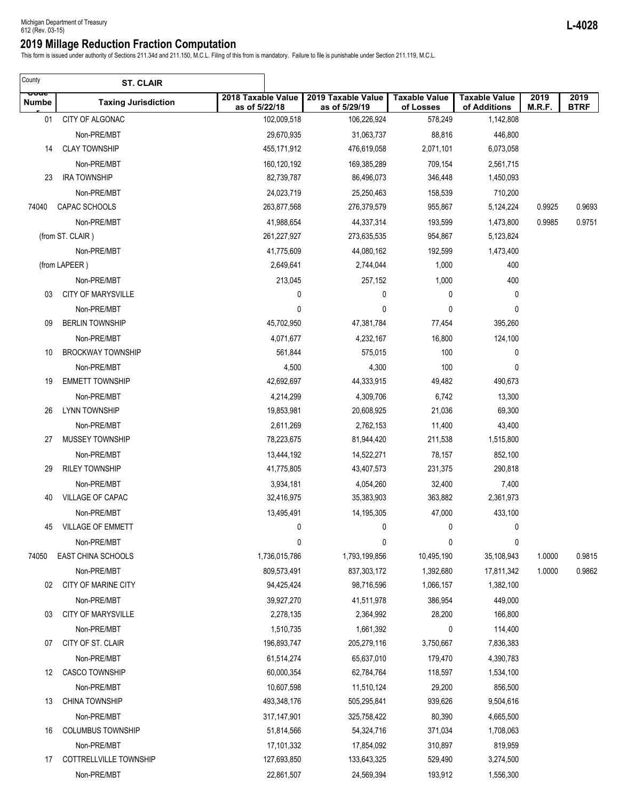This form is issued under authority of Sections 211.34d and 211.150, M.C.L. Filing of this from is mandatory. Failure to file is punishable under Section 211.119, M.C.L.

| County                      | <b>ST. CLAIR</b>           |                                     |                                     |                                   |                                      |                |                     |
|-----------------------------|----------------------------|-------------------------------------|-------------------------------------|-----------------------------------|--------------------------------------|----------------|---------------------|
| <u>ooue</u><br><b>Numbe</b> | <b>Taxing Jurisdiction</b> | 2018 Taxable Value<br>as of 5/22/18 | 2019 Taxable Value<br>as of 5/29/19 | <b>Taxable Value</b><br>of Losses | <b>Taxable Value</b><br>of Additions | 2019<br>M.R.F. | 2019<br><b>BTRF</b> |
| 01                          | CITY OF ALGONAC            | 102,009,518                         | 106,226,924                         | 578,249                           | 1,142,808                            |                |                     |
|                             | Non-PRE/MBT                | 29,670,935                          | 31,063,737                          | 88,816                            | 446,800                              |                |                     |
| 14                          | <b>CLAY TOWNSHIP</b>       | 455,171,912                         | 476,619,058                         | 2,071,101                         | 6,073,058                            |                |                     |
|                             | Non-PRE/MBT                | 160,120,192                         | 169,385,289                         | 709,154                           | 2,561,715                            |                |                     |
| 23                          | <b>IRA TOWNSHIP</b>        | 82,739,787                          | 86,496,073                          | 346,448                           | 1,450,093                            |                |                     |
|                             | Non-PRE/MBT                | 24,023,719                          | 25,250,463                          | 158,539                           | 710,200                              |                |                     |
| 74040                       | CAPAC SCHOOLS              | 263,877,568                         | 276,379,579                         | 955,867                           | 5,124,224                            | 0.9925         | 0.9693              |
|                             | Non-PRE/MBT                | 41,988,654                          | 44,337,314                          | 193,599                           | 1,473,800                            | 0.9985         | 0.9751              |
|                             | (from ST. CLAIR)           | 261,227,927                         | 273,635,535                         | 954,867                           | 5,123,824                            |                |                     |
|                             | Non-PRE/MBT                | 41,775,609                          | 44,080,162                          | 192,599                           | 1,473,400                            |                |                     |
|                             | (from LAPEER)              | 2,649,641                           | 2,744,044                           | 1,000                             | 400                                  |                |                     |
|                             | Non-PRE/MBT                | 213,045                             | 257,152                             | 1,000                             | 400                                  |                |                     |
| 03                          | <b>CITY OF MARYSVILLE</b>  | 0                                   | 0                                   | 0                                 | 0                                    |                |                     |
|                             | Non-PRE/MBT                | 0                                   | 0                                   | 0                                 | 0                                    |                |                     |
| 09                          | <b>BERLIN TOWNSHIP</b>     | 45,702,950                          | 47,381,784                          | 77,454                            | 395,260                              |                |                     |
|                             | Non-PRE/MBT                | 4,071,677                           | 4,232,167                           | 16,800                            | 124,100                              |                |                     |
| 10                          | <b>BROCKWAY TOWNSHIP</b>   | 561,844                             | 575,015                             | 100                               | 0                                    |                |                     |
|                             | Non-PRE/MBT                | 4,500                               | 4,300                               | 100                               | 0                                    |                |                     |
| 19                          | <b>EMMETT TOWNSHIP</b>     | 42,692,697                          | 44,333,915                          | 49,482                            | 490,673                              |                |                     |
|                             | Non-PRE/MBT                | 4,214,299                           | 4,309,706                           | 6,742                             | 13,300                               |                |                     |
| 26                          | <b>LYNN TOWNSHIP</b>       | 19,853,981                          | 20,608,925                          | 21,036                            | 69,300                               |                |                     |
|                             | Non-PRE/MBT                | 2,611,269                           | 2,762,153                           | 11,400                            | 43,400                               |                |                     |
| 27                          | MUSSEY TOWNSHIP            | 78,223,675                          | 81,944,420                          | 211,538                           | 1,515,800                            |                |                     |
|                             | Non-PRE/MBT                | 13,444,192                          | 14,522,271                          | 78,157                            | 852,100                              |                |                     |
| 29                          | <b>RILEY TOWNSHIP</b>      | 41,775,805                          | 43,407,573                          | 231,375                           | 290,818                              |                |                     |
|                             | Non-PRE/MBT                | 3,934,181                           | 4,054,260                           | 32,400                            | 7,400                                |                |                     |
| 40                          | VILLAGE OF CAPAC           | 32,416,975                          | 35,383,903                          | 363,882                           | 2,361,973                            |                |                     |
|                             | Non-PRE/MBT                | 13,495,491                          | 14,195,305                          | 47,000                            | 433,100                              |                |                     |
| 45                          | VILLAGE OF EMMETT          | 0                                   | 0                                   | 0                                 | 0                                    |                |                     |
|                             | Non-PRE/MBT                | 0                                   | 0                                   | 0                                 | 0                                    |                |                     |
| 74050                       | EAST CHINA SCHOOLS         | 1,736,015,786                       | 1,793,199,856                       | 10,495,190                        | 35,108,943                           | 1.0000         | 0.9815              |
|                             | Non-PRE/MBT                | 809,573,491                         | 837,303,172                         | 1,392,680                         | 17,811,342                           | 1.0000         | 0.9862              |
| 02                          | CITY OF MARINE CITY        | 94,425,424                          | 98,716,596                          | 1,066,157                         | 1,382,100                            |                |                     |
|                             | Non-PRE/MBT                | 39,927,270                          | 41,511,978                          | 386,954                           | 449,000                              |                |                     |
| 03                          | <b>CITY OF MARYSVILLE</b>  | 2,278,135                           | 2,364,992                           | 28,200                            | 166,800                              |                |                     |
|                             | Non-PRE/MBT                | 1,510,735                           | 1,661,392                           | 0                                 | 114,400                              |                |                     |
| 07                          | CITY OF ST. CLAIR          | 196,893,747                         | 205,279,116                         | 3,750,667                         | 7,836,383                            |                |                     |
|                             | Non-PRE/MBT                | 61,514,274                          | 65,637,010                          | 179,470                           | 4,390,783                            |                |                     |
| 12                          | <b>CASCO TOWNSHIP</b>      | 60,000,354                          | 62,784,764                          | 118,597                           | 1,534,100                            |                |                     |
|                             | Non-PRE/MBT                | 10,607,598                          | 11,510,124                          | 29,200                            | 856,500                              |                |                     |
| 13                          | <b>CHINA TOWNSHIP</b>      | 493,348,176                         | 505,295,841                         | 939,626                           | 9,504,616                            |                |                     |
|                             | Non-PRE/MBT                | 317, 147, 901                       | 325,758,422                         | 80,390                            | 4,665,500                            |                |                     |
| 16                          | <b>COLUMBUS TOWNSHIP</b>   | 51,814,566                          | 54,324,716                          | 371,034                           | 1,708,063                            |                |                     |
|                             | Non-PRE/MBT                | 17,101,332                          | 17,854,092                          | 310,897                           | 819,959                              |                |                     |
| 17                          | COTTRELLVILLE TOWNSHIP     | 127,693,850                         | 133,643,325                         | 529,490                           | 3,274,500                            |                |                     |
|                             | Non-PRE/MBT                | 22,861,507                          | 24,569,394                          | 193,912                           | 1,556,300                            |                |                     |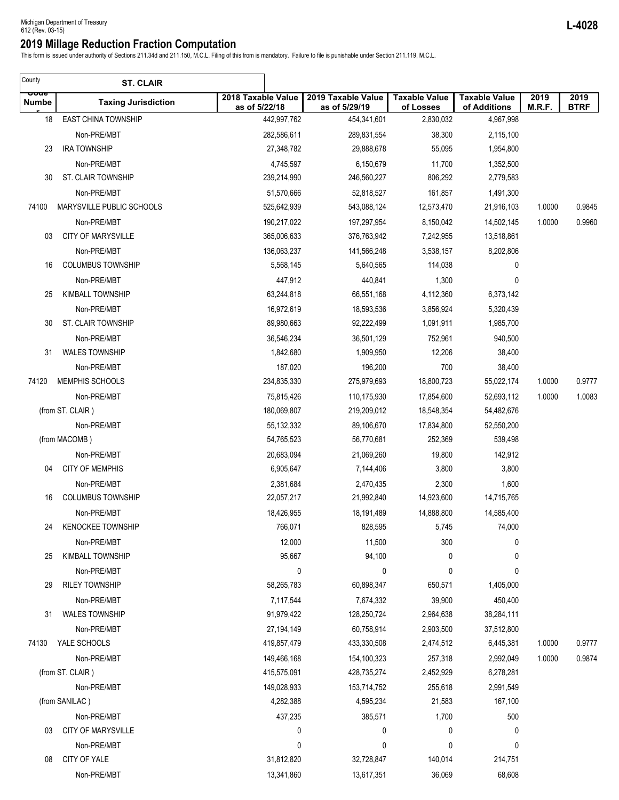This form is issued under authority of Sections 211.34d and 211.150, M.C.L. Filing of this from is mandatory. Failure to file is punishable under Section 211.119, M.C.L.

| County               | <b>ST. CLAIR</b>           |                                     |                                     |                                   |                                      |                |                     |
|----------------------|----------------------------|-------------------------------------|-------------------------------------|-----------------------------------|--------------------------------------|----------------|---------------------|
| ooue<br><b>Numbe</b> | <b>Taxing Jurisdiction</b> | 2018 Taxable Value<br>as of 5/22/18 | 2019 Taxable Value<br>as of 5/29/19 | <b>Taxable Value</b><br>of Losses | <b>Taxable Value</b><br>of Additions | 2019<br>M.R.F. | 2019<br><b>BTRF</b> |
| 18                   | <b>EAST CHINA TOWNSHIP</b> | 442,997,762                         | 454,341,601                         | 2,830,032                         | 4,967,998                            |                |                     |
|                      | Non-PRE/MBT                | 282,586,611                         | 289,831,554                         | 38,300                            | 2,115,100                            |                |                     |
| 23                   | <b>IRA TOWNSHIP</b>        | 27,348,782                          | 29,888,678                          | 55,095                            | 1,954,800                            |                |                     |
|                      | Non-PRE/MBT                | 4,745,597                           | 6,150,679                           | 11,700                            | 1,352,500                            |                |                     |
| 30                   | ST. CLAIR TOWNSHIP         | 239,214,990                         | 246,560,227                         | 806,292                           | 2,779,583                            |                |                     |
|                      | Non-PRE/MBT                | 51,570,666                          | 52,818,527                          | 161,857                           | 1,491,300                            |                |                     |
| 74100                | MARYSVILLE PUBLIC SCHOOLS  | 525,642,939                         | 543,088,124                         | 12,573,470                        | 21,916,103                           | 1.0000         | 0.9845              |
|                      | Non-PRE/MBT                | 190,217,022                         | 197,297,954                         | 8,150,042                         | 14,502,145                           | 1.0000         | 0.9960              |
| 03                   | <b>CITY OF MARYSVILLE</b>  | 365,006,633                         | 376,763,942                         | 7,242,955                         | 13,518,861                           |                |                     |
|                      | Non-PRE/MBT                | 136,063,237                         | 141,566,248                         | 3,538,157                         | 8,202,806                            |                |                     |
| 16                   | <b>COLUMBUS TOWNSHIP</b>   | 5,568,145                           | 5,640,565                           | 114,038                           | 0                                    |                |                     |
|                      | Non-PRE/MBT                | 447,912                             | 440,841                             | 1,300                             | 0                                    |                |                     |
| 25                   | KIMBALL TOWNSHIP           | 63,244,818                          | 66,551,168                          | 4,112,360                         | 6,373,142                            |                |                     |
|                      | Non-PRE/MBT                | 16,972,619                          | 18,593,536                          | 3,856,924                         | 5,320,439                            |                |                     |
| 30                   | <b>ST. CLAIR TOWNSHIP</b>  | 89,980,663                          | 92,222,499                          | 1,091,911                         | 1,985,700                            |                |                     |
|                      | Non-PRE/MBT                | 36,546,234                          | 36,501,129                          | 752,961                           | 940,500                              |                |                     |
| 31                   | <b>WALES TOWNSHIP</b>      | 1,842,680                           | 1,909,950                           | 12,206                            | 38,400                               |                |                     |
|                      | Non-PRE/MBT                | 187,020                             | 196,200                             | 700                               | 38,400                               |                |                     |
| 74120                | MEMPHIS SCHOOLS            | 234,835,330                         | 275,979,693                         | 18,800,723                        | 55,022,174                           | 1.0000         | 0.9777              |
|                      | Non-PRE/MBT                | 75,815,426                          | 110,175,930                         | 17,854,600                        | 52,693,112                           | 1.0000         | 1.0083              |
|                      | (from ST. CLAIR)           | 180,069,807                         | 219,209,012                         | 18,548,354                        | 54,482,676                           |                |                     |
|                      | Non-PRE/MBT                | 55, 132, 332                        | 89,106,670                          | 17,834,800                        | 52,550,200                           |                |                     |
|                      | (from MACOMB)              | 54,765,523                          | 56,770,681                          | 252,369                           | 539,498                              |                |                     |
|                      | Non-PRE/MBT                | 20,683,094                          | 21,069,260                          | 19,800                            | 142,912                              |                |                     |
| 04                   | <b>CITY OF MEMPHIS</b>     | 6,905,647                           | 7,144,406                           | 3,800                             | 3,800                                |                |                     |
|                      | Non-PRE/MBT                | 2,381,684                           | 2,470,435                           | 2,300                             | 1,600                                |                |                     |
| 16                   | <b>COLUMBUS TOWNSHIP</b>   | 22,057,217                          | 21,992,840                          | 14,923,600                        | 14,715,765                           |                |                     |
|                      | Non-PRE/MBT                | 18,426,955                          | 18,191,489                          | 14,888,800                        | 14,585,400                           |                |                     |
| 24                   | <b>KENOCKEE TOWNSHIP</b>   | 766,071                             | 828,595                             | 5,745                             | 74,000                               |                |                     |
|                      | Non-PRE/MBT                | 12,000                              | 11,500                              | 300                               | 0                                    |                |                     |
| 25                   | <b>KIMBALL TOWNSHIP</b>    | 95,667                              | 94,100                              | 0                                 | 0                                    |                |                     |
|                      | Non-PRE/MBT                | 0                                   | 0                                   | 0                                 | 0                                    |                |                     |
| 29                   | <b>RILEY TOWNSHIP</b>      | 58,265,783                          | 60,898,347                          | 650,571                           | 1,405,000                            |                |                     |
|                      | Non-PRE/MBT                | 7,117,544                           | 7,674,332                           | 39,900                            | 450,400                              |                |                     |
| 31                   | <b>WALES TOWNSHIP</b>      | 91,979,422                          | 128,250,724                         | 2,964,638                         | 38,284,111                           |                |                     |
|                      | Non-PRE/MBT                | 27,194,149                          | 60,758,914                          | 2,903,500                         | 37,512,800                           |                |                     |
| 74130                | YALE SCHOOLS               | 419,857,479                         | 433,330,508                         | 2,474,512                         | 6,445,381                            | 1.0000         | 0.9777              |
|                      | Non-PRE/MBT                | 149,466,168                         | 154,100,323                         | 257,318                           | 2,992,049                            | 1.0000         | 0.9874              |
|                      | (from ST. CLAIR)           | 415,575,091                         | 428,735,274                         | 2,452,929                         | 6,278,281                            |                |                     |
|                      | Non-PRE/MBT                | 149,028,933                         | 153,714,752                         | 255,618                           | 2,991,549                            |                |                     |
|                      | (from SANILAC)             | 4,282,388                           | 4,595,234                           | 21,583                            | 167,100                              |                |                     |
|                      | Non-PRE/MBT                | 437,235                             | 385,571                             | 1,700                             | 500                                  |                |                     |
| 03                   | <b>CITY OF MARYSVILLE</b>  | 0                                   | 0                                   | 0                                 | 0                                    |                |                     |
|                      | Non-PRE/MBT                | 0                                   | 0                                   | 0                                 | 0                                    |                |                     |
| 08                   | CITY OF YALE               | 31,812,820                          | 32,728,847                          | 140,014                           | 214,751                              |                |                     |
|                      | Non-PRE/MBT                | 13,341,860                          | 13,617,351                          | 36,069                            | 68,608                               |                |                     |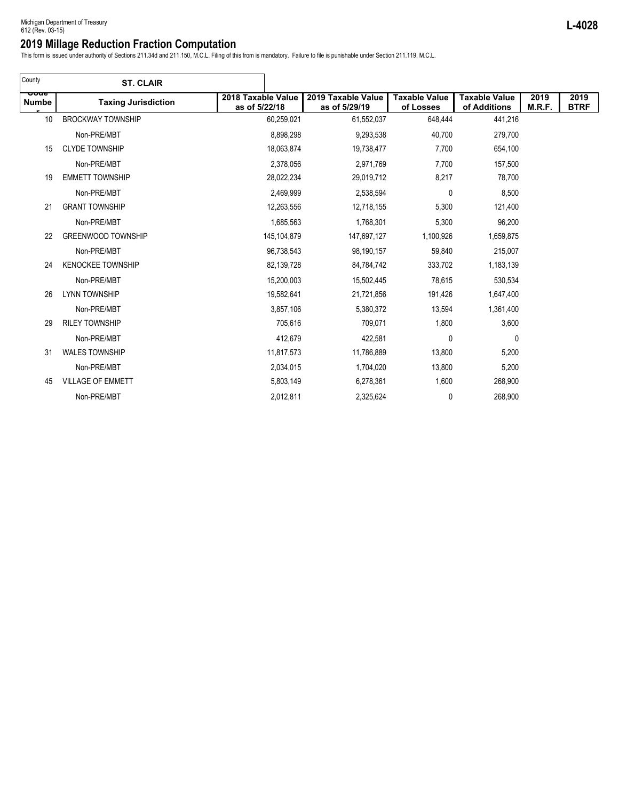This form is issued under authority of Sections 211.34d and 211.150, M.C.L. Filing of this from is mandatory. Failure to file is punishable under Section 211.119, M.C.L.

| County               | <b>ST. CLAIR</b>           |                                     |                                     |                                   |                                      |                |                     |
|----------------------|----------------------------|-------------------------------------|-------------------------------------|-----------------------------------|--------------------------------------|----------------|---------------------|
| ooue<br><b>Numbe</b> | <b>Taxing Jurisdiction</b> | 2018 Taxable Value<br>as of 5/22/18 | 2019 Taxable Value<br>as of 5/29/19 | <b>Taxable Value</b><br>of Losses | <b>Taxable Value</b><br>of Additions | 2019<br>M.R.F. | 2019<br><b>BTRF</b> |
| 10                   | <b>BROCKWAY TOWNSHIP</b>   | 60,259,021                          | 61,552,037                          | 648,444                           | 441,216                              |                |                     |
|                      | Non-PRE/MBT                | 8,898,298                           | 9,293,538                           | 40,700                            | 279,700                              |                |                     |
| 15                   | <b>CLYDE TOWNSHIP</b>      | 18,063,874                          | 19,738,477                          | 7,700                             | 654,100                              |                |                     |
|                      | Non-PRE/MBT                | 2,378,056                           | 2,971,769                           | 7,700                             | 157,500                              |                |                     |
| 19                   | <b>EMMETT TOWNSHIP</b>     | 28,022,234                          | 29,019,712                          | 8,217                             | 78,700                               |                |                     |
|                      | Non-PRE/MBT                | 2,469,999                           | 2,538,594                           | 0                                 | 8,500                                |                |                     |
| 21                   | <b>GRANT TOWNSHIP</b>      | 12,263,556                          | 12,718,155                          | 5,300                             | 121,400                              |                |                     |
|                      | Non-PRE/MBT                | 1,685,563                           | 1,768,301                           | 5,300                             | 96,200                               |                |                     |
| 22                   | <b>GREENWOOD TOWNSHIP</b>  | 145, 104, 879                       | 147,697,127                         | 1,100,926                         | 1,659,875                            |                |                     |
|                      | Non-PRE/MBT                | 96,738,543                          | 98,190,157                          | 59,840                            | 215,007                              |                |                     |
| 24                   | <b>KENOCKEE TOWNSHIP</b>   | 82,139,728                          | 84,784,742                          | 333,702                           | 1,183,139                            |                |                     |
|                      | Non-PRE/MBT                | 15,200,003                          | 15,502,445                          | 78,615                            | 530,534                              |                |                     |
| 26                   | <b>LYNN TOWNSHIP</b>       | 19,582,641                          | 21,721,856                          | 191,426                           | 1,647,400                            |                |                     |
|                      | Non-PRE/MBT                | 3,857,106                           | 5,380,372                           | 13,594                            | 1,361,400                            |                |                     |
| 29                   | <b>RILEY TOWNSHIP</b>      | 705,616                             | 709,071                             | 1,800                             | 3,600                                |                |                     |
|                      | Non-PRE/MBT                | 412,679                             | 422,581                             | $\mathbf 0$                       | $\mathbf 0$                          |                |                     |
| 31                   | <b>WALES TOWNSHIP</b>      | 11,817,573                          | 11,786,889                          | 13,800                            | 5,200                                |                |                     |
|                      | Non-PRE/MBT                | 2,034,015                           | 1,704,020                           | 13,800                            | 5,200                                |                |                     |
| 45                   | <b>VILLAGE OF EMMETT</b>   | 5,803,149                           | 6,278,361                           | 1,600                             | 268,900                              |                |                     |
|                      | Non-PRE/MBT                | 2,012,811                           | 2,325,624                           | 0                                 | 268,900                              |                |                     |
|                      |                            |                                     |                                     |                                   |                                      |                |                     |